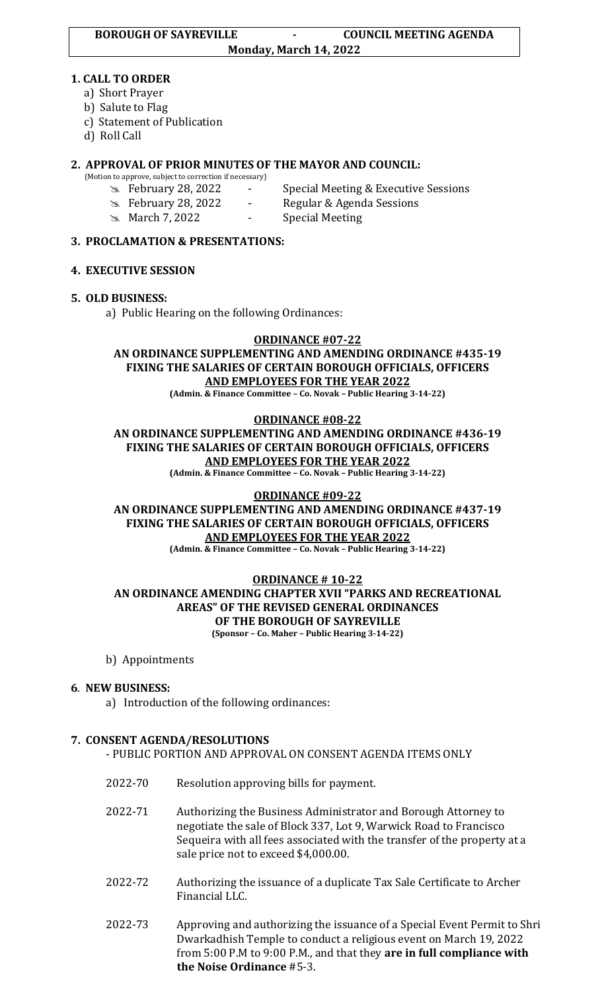#### **1. CALL TO ORDER**

- a) Short Prayer
- b) Salute to Flag
- c) Statement of Publication
- d) Roll Call

## **2. APPROVAL OF PRIOR MINUTES OF THE MAYOR AND COUNCIL:**

- (Motion to approve, subject to correction if necessary)
	-
	-
	- February 28, 2022 Special Meeting & Executive Sessions
	- February 28, 2022 Regular & Agenda Sessions
	- **March 7, 2022** Special Meeting
- 

#### **3. PROCLAMATION & PRESENTATIONS:**

## **4. EXECUTIVE SESSION**

#### **5. OLD BUSINESS:**

a) Public Hearing on the following Ordinances:

## **ORDINANCE #07-22 AN ORDINANCE SUPPLEMENTING AND AMENDING ORDINANCE #435-19 FIXING THE SALARIES OF CERTAIN BOROUGH OFFICIALS, OFFICERS AND EMPLOYEES FOR THE YEAR 2022**

**(Admin. & Finance Committee – Co. Novak – Public Hearing 3-14-22)**

#### **ORDINANCE #08-22**

## **AN ORDINANCE SUPPLEMENTING AND AMENDING ORDINANCE #436-19 FIXING THE SALARIES OF CERTAIN BOROUGH OFFICIALS, OFFICERS AND EMPLOYEES FOR THE YEAR 2022**

**(Admin. & Finance Committee – Co. Novak – Public Hearing 3-14-22)**

#### **ORDINANCE #09-22 AN ORDINANCE SUPPLEMENTING AND AMENDING ORDINANCE #437-19 FIXING THE SALARIES OF CERTAIN BOROUGH OFFICIALS, OFFICERS AND EMPLOYEES FOR THE YEAR 2022**

**(Admin. & Finance Committee – Co. Novak – Public Hearing 3-14-22)**

#### **ORDINANCE # 10-22 AN ORDINANCE AMENDING CHAPTER XVII "PARKS AND RECREATIONAL AREAS" OF THE REVISED GENERAL ORDINANCES OF THE BOROUGH OF SAYREVILLE (Sponsor – Co. Maher – Public Hearing 3-14-22)**

b) Appointments

## **6**. **NEW BUSINESS:**

a) Introduction of the following ordinances:

## **7. CONSENT AGENDA/RESOLUTIONS**

- PUBLIC PORTION AND APPROVAL ON CONSENT AGENDA ITEMS ONLY
- 2022-70 Resolution approving bills for payment.
- 2022-71 Authorizing the Business Administrator and Borough Attorney to negotiate the sale of Block 337, Lot 9, Warwick Road to Francisco Sequeira with all fees associated with the transfer of the property at a sale price not to exceed \$4,000.00.
- 2022-72 Authorizing the issuance of a duplicate Tax Sale Certificate to Archer Financial LLC.
- 2022-73 Approving and authorizing the issuance of a Special Event Permit to Shri Dwarkadhish Temple to conduct a religious event on March 19, 2022 from 5:00 P.M to 9:00 P.M., and that they **are in full compliance with the Noise Ordinance** #5-3.